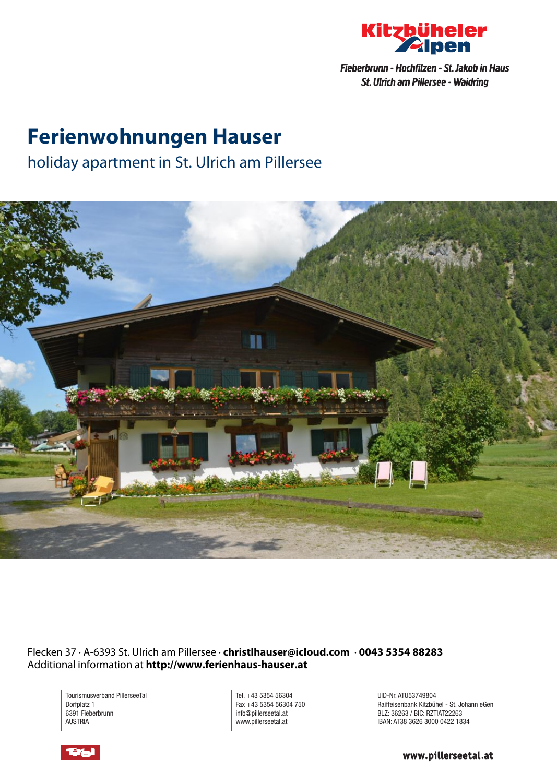

# **Ferienwohnungen Hauser**

## holiday apartment in St. Ulrich am Pillersee



Flecken 37 · A-6393 St. Ulrich am Pillersee · **christlhauser@icloud.com** · **0043 5354 88283** Additional information at **http://www.ferienhaus-hauser.at**

Tourismusverband PillerseeTal Dorfplatz 1 6391 Fieberbrunn AUSTRIA

Tel. +43 5354 56304 Fax +43 5354 56304 750 info@pillerseetal.at www.pillerseetal.at

UID-Nr. ATU53749804 Raiffeisenbank Kitzbühel - St. Johann eGen BLZ: 36263 / BIC: RZTIAT22263 IBAN: AT38 3626 3000 0422 1834

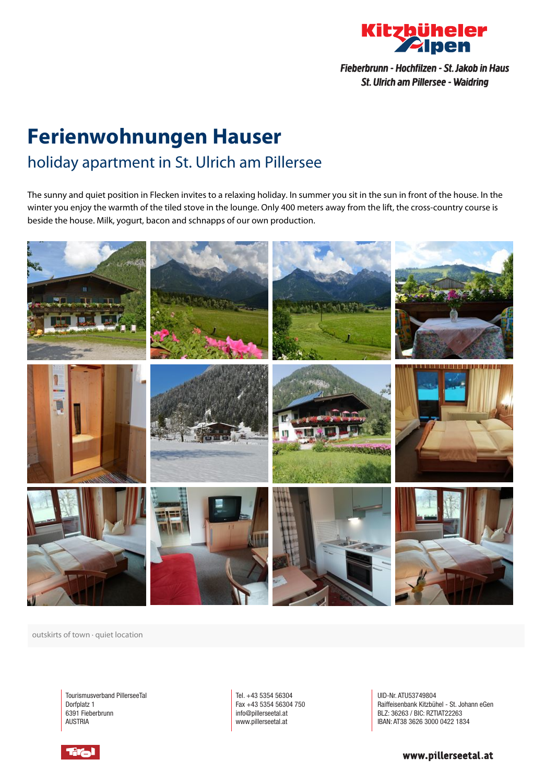

# **Ferienwohnungen Hauser** holiday apartment in St. Ulrich am Pillersee

The sunny and quiet position in Flecken invites to <sup>a</sup> relaxing holiday. In summer you sit in the sun in front of the house. In the winter you enjoy the warmth of the tiled stove in the lounge. Only 400 meters away from the lift, the cross-country course is beside the house. Milk, yogurt, bacon and schnapps of our own production.



outskirts of town · quiet location

Tourismusverband PillerseeTal Dorfplatz 1 6391 Fieberbrunn AUSTRIA

Tel. +43 5354 56304 Fax +43 5354 56304 750 info@pillerseetal.at www.pillerseetal.at

UID-Nr. ATU53749804 Raiffeisenbank Kitzbühel - St. Johann eGen BLZ: 36263 / BIC: RZTIAT22263 IBAN: AT38 3626 3000 0422 1834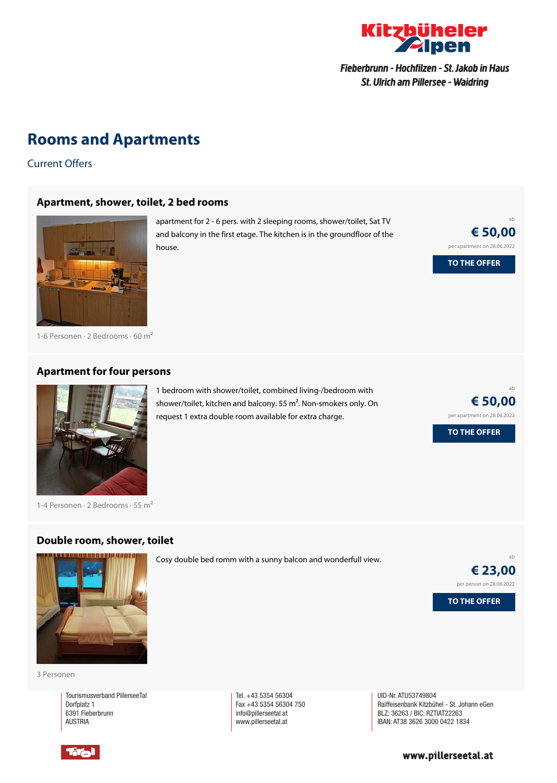

### **Rooms and Apartments**

Current Offers

#### **[Apartment,](https://www.kitzbueheler-alpen.com/en/pital/accommodation/booking/ferienwohnungen-hauser-1.html?utm_medium=PDF&utm_campaign=Vermieter-Prospekt&utm_source=Ferienwohnungen+Hauser) shower, toilet, 2 bed rooms**



apartment for 2 - 6 pers. with 2 sleeping rooms, shower/toilet, Sat TV and balcony in the first etage. The kitchen is in the groundfloor of the house.

**€ 50,00** per apartment on 28.06.2022 **TO THE OFFER**

ab

1-6 Personen  $\cdot$  2 Bedrooms  $\cdot$  60 m<sup>2</sup>

#### **[Apartment](https://www.kitzbueheler-alpen.com/en/pital/accommodation/booking/ferienwohnungen-hauser-1.html?utm_medium=PDF&utm_campaign=Vermieter-Prospekt&utm_source=Ferienwohnungen+Hauser) for four persons**



1-4 Personen  $\cdot$  2 Bedrooms  $\cdot$  55 m<sup>2</sup>

#### **Double room, shower, toilet**

request 1 extra double room available for extra charge.

1 bedroom with shower/toilet, combined living-/bedroom with shower/toilet, kitchen and balcony. <sup>55</sup> <sup>m</sup>². Non-smokers only. On

ab **€ 50,00** per apartment on 28.06.2022

**TO THE OFFER**



Cosy double bed romm with <sup>a</sup> sunny balcon and wonderfull view.



ab

3 Personen

Tourismusverband PillerseeTal Dorfplatz 1 6391 Fieberbrunn AUSTRIA

Tel. +43 5354 56304 Fax +43 5354 56304 750 info@pillerseetal.at www.pillerseetal.at

UID-Nr. ATU53749804 Raiffeisenbank Kitzbühel - St. Johann eGen BLZ: 36263 / BIC: RZTIAT22263 IBAN: AT38 3626 3000 0422 1834